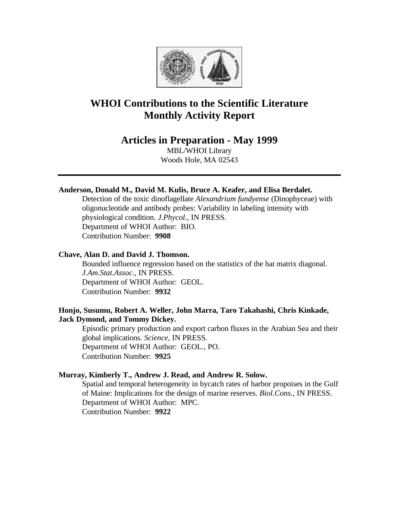

# **WHOI Contributions to the Scientific Literature Monthly Activity Report**

# **Articles in Preparation - May 1999**

MBL/WHOI Library Woods Hole, MA 02543

# **Anderson, Donald M., David M. Kulis, Bruce A. Keafer, and Elisa Berdalet.**

Detection of the toxic dinoflagellate *Alexandrium fundyense* (Dinophyceae) with oligonucleotide and antibody probes: Variability in labeling intensity with physiological condition. *J.Phycol.*, IN PRESS. Department of WHOI Author: BIO. Contribution Number: **9908**

# **Chave, Alan D. and David J. Thomson.**

Bounded influence regression based on the statistics of the hat matrix diagonal. *J.Am.Stat.Assoc.*, IN PRESS. Department of WHOI Author: GEOL. Contribution Number: **9932**

# **Honjo, Susumu, Robert A. Weller, John Marra, Taro Takahashi, Chris Kinkade, Jack Dymond, and Tommy Dickey.**

Episodic primary production and export carbon fluxes in the Arabian Sea and their global implications. *Science*, IN PRESS. Department of WHOI Author: GEOL., PO. Contribution Number: **9925**

### **Murray, Kimberly T., Andrew J. Read, and Andrew R. Solow.**

Spatial and temporal heterogeneity in bycatch rates of harbor propoises in the Gulf of Maine: Implications for the design of marine reserves. *Biol.Cons.*, IN PRESS. Department of WHOI Author: MPC. Contribution Number: **9922**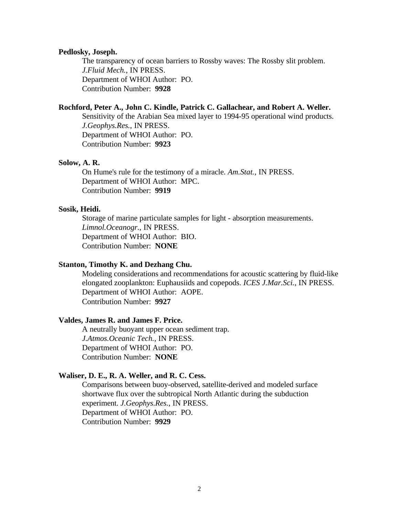#### **Pedlosky, Joseph.**

The transparency of ocean barriers to Rossby waves: The Rossby slit problem. *J.Fluid Mech.*, IN PRESS. Department of WHOI Author: PO. Contribution Number: **9928**

#### **Rochford, Peter A., John C. Kindle, Patrick C. Gallachear, and Robert A. Weller.**

Sensitivity of the Arabian Sea mixed layer to 1994-95 operational wind products. *J.Geophys.Res.*, IN PRESS. Department of WHOI Author: PO. Contribution Number: **9923**

#### **Solow, A. R.**

On Hume's rule for the testimony of a miracle. *Am.Stat.*, IN PRESS. Department of WHOI Author: MPC. Contribution Number: **9919**

#### **Sosik, Heidi.**

Storage of marine particulate samples for light - absorption measurements. *Limnol.Oceanogr.*, IN PRESS. Department of WHOI Author: BIO. Contribution Number: **NONE**

#### **Stanton, Timothy K. and Dezhang Chu.**

Modeling considerations and recommendations for acoustic scattering by fluid-like elongated zooplankton: Euphausiids and copepods. *ICES J.Mar.Sci.*, IN PRESS. Department of WHOI Author: AOPE. Contribution Number: **9927**

#### **Valdes, James R. and James F. Price.**

A neutrally buoyant upper ocean sediment trap. *J.Atmos.Oceanic Tech.*, IN PRESS. Department of WHOI Author: PO. Contribution Number: **NONE**

#### **Waliser, D. E., R. A. Weller, and R. C. Cess.**

Comparisons between buoy-observed, satellite-derived and modeled surface shortwave flux over the subtropical North Atlantic during the subduction experiment. *J.Geophys.Res.*, IN PRESS. Department of WHOI Author: PO. Contribution Number: **9929**